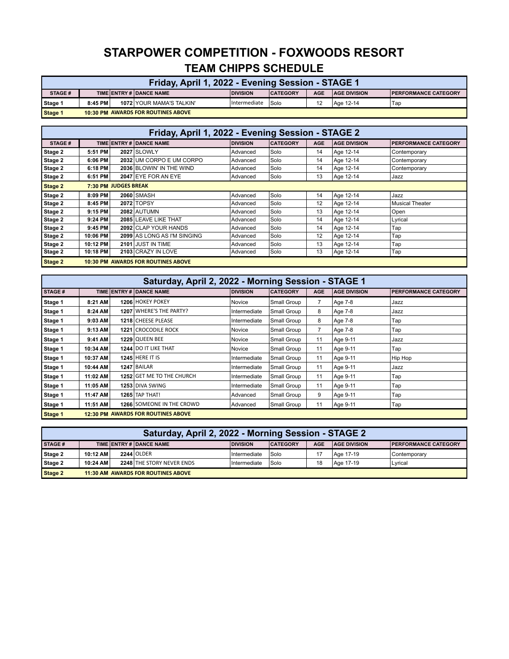## **STARPOWER COMPETITION - FOXWOODS RESORT TEAM CHIPPS SCHEDULE**

| Friday, April 1, 2022 - Evening Session - STAGE 1 |         |  |                                           |                 |                 |            |                     |                              |  |
|---------------------------------------------------|---------|--|-------------------------------------------|-----------------|-----------------|------------|---------------------|------------------------------|--|
| <b>STAGE#</b>                                     |         |  | TIME ENTRY # DANCE NAME                   | <b>DIVISION</b> | <b>CATEGORY</b> | <b>AGE</b> | <b>AGE DIVISION</b> | <b>IPERFORMANCE CATEGORY</b> |  |
| Stage 1                                           | 8:45 PM |  | 1072 YOUR MAMA'S TALKIN'                  | Intermediate    | Solo            | 12         | Age 12-14           | Tap                          |  |
| Stage 1                                           |         |  | <b>10:30 PM AWARDS FOR ROUTINES ABOVE</b> |                 |                 |            |                     |                              |  |

| Friday, April 1, 2022 - Evening Session - STAGE 2                                        |                             |  |                             |                 |                 |            |                     |                             |  |
|------------------------------------------------------------------------------------------|-----------------------------|--|-----------------------------|-----------------|-----------------|------------|---------------------|-----------------------------|--|
| <b>STAGE#</b>                                                                            |                             |  | TIME ENTRY # DANCE NAME     | <b>DIVISION</b> | <b>CATEGORY</b> | <b>AGE</b> | <b>AGE DIVISION</b> | <b>PERFORMANCE CATEGORY</b> |  |
| Stage 2                                                                                  | 5:51 PM                     |  | 2027 SLOWLY                 | Advanced        | Solo            | 14         | Age 12-14           | Contemporary                |  |
| Stage 2                                                                                  | 6:06 PM                     |  | 2032 UM CORPO E UM CORPO    | Advanced        | Solo            | 14         | Age 12-14           | Contemporary                |  |
| Stage 2                                                                                  | 6:18 PM                     |  | 2036 BLOWIN' IN THE WIND    | Advanced        | Solo            | 14         | Age 12-14           | Contemporary                |  |
| Stage 2<br>2047 EYE FOR AN EYE<br>Solo<br>13<br>Age 12-14<br>6:51 PM<br>Advanced<br>Jazz |                             |  |                             |                 |                 |            |                     |                             |  |
| Stage 2                                                                                  | <b>7:30 PM JUDGES BREAK</b> |  |                             |                 |                 |            |                     |                             |  |
| Stage 2                                                                                  | 8:09 PM                     |  | <b>2060 SMASH</b>           | Advanced        | Solo            | 14         | Age 12-14           | Jazz                        |  |
| Stage 2                                                                                  | 8:45 PM                     |  | 2072 TOPSY                  | Advanced        | Solo            | 12         | Age 12-14           | <b>Musical Theater</b>      |  |
| Stage 2                                                                                  | 9:15 PM                     |  | <b>2082 AUTUMN</b>          | Advanced        | Solo            | 13         | Age 12-14           | Open                        |  |
| Stage 2                                                                                  | 9:24 PM                     |  | 2085 LEAVE LIKE THAT        | Advanced        | Solo            | 14         | Age 12-14           | Lyrical                     |  |
| Stage 2                                                                                  | 9:45 PM                     |  | 2092 CLAP YOUR HANDS        | Advanced        | Solo            | 14         | Age 12-14           | Tap                         |  |
| Stage 2                                                                                  | 10:06 PM                    |  | 2099 AS LONG AS I'M SINGING | Advanced        | Solo            | 12         | Age 12-14           | Tap                         |  |
| Stage 2                                                                                  | 10:12 PM                    |  | 2101 JUST IN TIME           | Advanced        | Solo            | 13         | Age 12-14           | Tap                         |  |
| Stage 2                                                                                  | 10:18 PM                    |  | 2103 CRAZY IN LOVE          | Advanced        | Solo            | 13         | Age 12-14           | Тар                         |  |
| Stage 2<br><b>10:30 PM AWARDS FOR ROUTINES ABOVE</b>                                     |                             |  |                             |                 |                 |            |                     |                             |  |

|               | Saturday, April 2, 2022 - Morning Session - STAGE 1 |  |                                           |                 |                 |            |                     |                             |  |  |  |
|---------------|-----------------------------------------------------|--|-------------------------------------------|-----------------|-----------------|------------|---------------------|-----------------------------|--|--|--|
| <b>STAGE#</b> |                                                     |  | TIME ENTRY # DANCE NAME                   | <b>DIVISION</b> | <b>CATEGORY</b> | <b>AGE</b> | <b>AGE DIVISION</b> | <b>PERFORMANCE CATEGORY</b> |  |  |  |
| Stage 1       | 8:21 AM                                             |  | 1206 HOKEY POKEY                          | Novice          | Small Group     |            | Age 7-8             | Jazz                        |  |  |  |
| Stage 1       | 8:24 AM                                             |  | 1207 WHERE'S THE PARTY?                   | Intermediate    | Small Group     | 8          | Age 7-8             | Jazz                        |  |  |  |
| Stage 1       | 9:03 AM                                             |  | 1218 CHEESE PLEASE                        | Intermediate    | Small Group     | 8          | Age 7-8             | Tap                         |  |  |  |
| Stage 1       | 9:13 AM                                             |  | 1221 CROCODILE ROCK                       | Novice          | Small Group     | 7          | Age 7-8             | Tap                         |  |  |  |
| Stage 1       | 9:41 AM                                             |  | 1229 QUEEN BEE                            | Novice          | Small Group     | 11         | Age 9-11            | Jazz                        |  |  |  |
| Stage 1       | 10:34 AM                                            |  | 1244 DO IT LIKE THAT                      | Novice          | Small Group     | 11         | Age 9-11            | Tap                         |  |  |  |
| Stage 1       | 10:37 AM                                            |  | <b>1245 HERE IT IS</b>                    | Intermediate    | Small Group     | 11         | Age 9-11            | Hip Hop                     |  |  |  |
| Stage 1       | 10:44 AM                                            |  | 1247 BAILAR                               | Intermediate    | Small Group     | 11         | Age 9-11            | Jazz                        |  |  |  |
| Stage 1       | 11:02 AM                                            |  | <b>1252 GET ME TO THE CHURCH</b>          | Intermediate    | Small Group     | 11         | Age 9-11            | Тар                         |  |  |  |
| Stage 1       | 11:05 AM                                            |  | 1253 DIVA SWING                           | Intermediate    | Small Group     | 11         | Age 9-11            | Tap                         |  |  |  |
| Stage 1       | 11:47 AM                                            |  | <b>1265 TAP THAT!</b>                     | Advanced        | Small Group     | 9          | Age 9-11            | Tap                         |  |  |  |
| Stage 1       | 11:51 AM                                            |  | 1266 SOMEONE IN THE CROWD                 | Advanced        | Small Group     | 11         | Age 9-11            | Тар                         |  |  |  |
| Stage 1       |                                                     |  | <b>12:30 PM AWARDS FOR ROUTINES ABOVE</b> |                 |                 |            |                     |                             |  |  |  |

| Saturday, April 2, 2022 - Morning Session - STAGE 2  |                                                                                                                                   |  |            |              |      |  |           |              |  |
|------------------------------------------------------|-----------------------------------------------------------------------------------------------------------------------------------|--|------------|--------------|------|--|-----------|--------------|--|
| <b>STAGE#</b>                                        | TIME ENTRY # DANCE NAME<br><b>AGE</b><br><b>DIVISION</b><br><b>AGE DIVISION</b><br><b>CATEGORY</b><br><b>PERFORMANCE CATEGORY</b> |  |            |              |      |  |           |              |  |
| Stage 2                                              | 10:12 AM                                                                                                                          |  | 2244 OLDER | Intermediate | Solo |  | Age 17-19 | Contemporary |  |
| Stage 2                                              | 2248 THE STORY NEVER ENDS<br>Solo<br>10:24 AM<br>18<br>Age 17-19<br>Intermediate<br>Lyrical                                       |  |            |              |      |  |           |              |  |
| Stage 2<br><b>11:30 AM AWARDS FOR ROUTINES ABOVE</b> |                                                                                                                                   |  |            |              |      |  |           |              |  |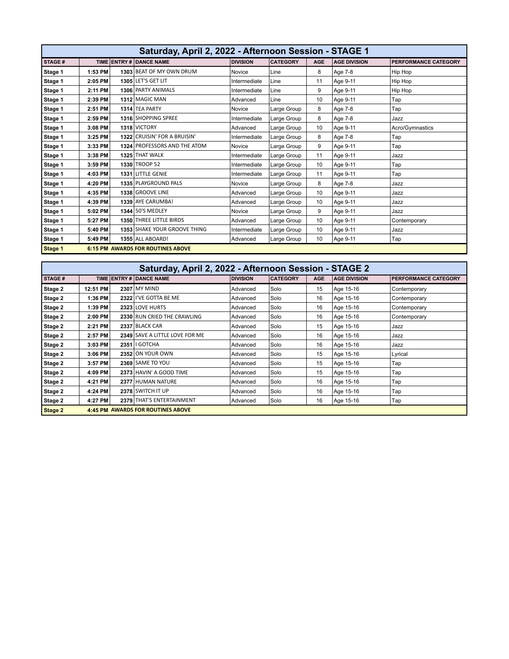| Saturday, April 2, 2022 - Afternoon Session - STAGE 1 |         |  |                                          |                 |                 |            |                     |                             |  |
|-------------------------------------------------------|---------|--|------------------------------------------|-----------------|-----------------|------------|---------------------|-----------------------------|--|
| <b>STAGE#</b>                                         |         |  | TIME ENTRY # DANCE NAME                  | <b>DIVISION</b> | <b>CATEGORY</b> | <b>AGE</b> | <b>AGE DIVISION</b> | <b>PERFORMANCE CATEGORY</b> |  |
| Stage 1                                               | 1:53 PM |  | 1303 BEAT OF MY OWN DRUM                 | Novice          | Line            | 8          | Age 7-8             | Hip Hop                     |  |
| Stage 1                                               | 2:05 PM |  | 1305 LET'S GET LIT                       | Intermediate    | Line            | 11         | Age 9-11            | Hip Hop                     |  |
| Stage 1                                               | 2:11 PM |  | 1306 PARTY ANIMALS                       | Intermediate    | Line            | 9          | Age 9-11            | Hip Hop                     |  |
| Stage 1                                               | 2:39 PM |  | 1312 MAGIC MAN                           | Advanced        | Line            | 10         | Age 9-11            | Tap                         |  |
| Stage 1                                               | 2:51 PM |  | 1314 TEA PARTY                           | Novice          | Large Group     | 8          | Age 7-8             | Tap                         |  |
| Stage 1                                               | 2:59 PM |  | 1316 SHOPPING SPREE                      | Intermediate    | Large Group     | 8          | Age 7-8             | Jazz                        |  |
| Stage 1                                               | 3:08 PM |  | 1318 VICTORY                             | Advanced        | Large Group     | 10         | Age 9-11            | Acro/Gymnastics             |  |
| Stage 1                                               | 3:25 PM |  | 1322 CRUISIN' FOR A BRUISIN'             | Intermediate    | Large Group     | 8          | Age 7-8             | Tap                         |  |
| Stage 1                                               | 3:33 PM |  | 1324 PROFESSORS AND THE ATOM             | Novice          | Large Group     | 9          | Age 9-11            | Tap                         |  |
| Stage 1                                               | 3:38 PM |  | 1325 THAT WALK                           | Intermediate    | Large Group     | 11         | Age 9-11            | Jazz                        |  |
| Stage 1                                               | 3:59 PM |  | 1330 TROOP 52                            | Intermediate    | Large Group     | 10         | Age 9-11            | Tap                         |  |
| Stage 1                                               | 4:03 PM |  | 1331 LITTLE GENIE                        | Intermediate    | Large Group     | 11         | Age 9-11            | Tap                         |  |
| Stage 1                                               | 4:20 PM |  | 1335 PLAYGROUND PALS                     | Novice          | Large Group     | 8          | Age 7-8             | Jazz                        |  |
| Stage 1                                               | 4:35 PM |  | 1338 GROOVE LINE                         | Advanced        | Large Group     | 10         | Age 9-11            | Jazz                        |  |
| Stage 1                                               | 4:39 PM |  | 1339 AYE CARUMBA!                        | Advanced        | Large Group     | 10         | Age 9-11            | Jazz                        |  |
| Stage 1                                               | 5:02 PM |  | 1344 50'S MEDLEY                         | Novice          | Large Group     | 9          | Age 9-11            | Jazz                        |  |
| Stage 1                                               | 5:27 PM |  | 1350 THREE LITTLE BIRDS                  | Advanced        | Large Group     | 10         | Age 9-11            | Contemporary                |  |
| Stage 1                                               | 5:40 PM |  | 1353 SHAKE YOUR GROOVE THING             | Intermediate    | Large Group     | 10         | Age 9-11            | Jazz                        |  |
| Stage 1                                               | 5:49 PM |  | 1355 ALL ABOARD!                         | Advanced        | Large Group     | 10         | Age 9-11            | Tap                         |  |
| Stage 1                                               |         |  | <b>6:15 PM AWARDS FOR ROUTINES ABOVE</b> |                 |                 |            |                     |                             |  |

|               | Saturday, April 2, 2022 - Afternoon Session - STAGE 2 |  |                                          |                 |                 |            |                     |                             |  |  |
|---------------|-------------------------------------------------------|--|------------------------------------------|-----------------|-----------------|------------|---------------------|-----------------------------|--|--|
| <b>STAGE#</b> |                                                       |  | TIME ENTRY # DANCE NAME                  | <b>DIVISION</b> | <b>CATEGORY</b> | <b>AGE</b> | <b>AGE DIVISION</b> | <b>PERFORMANCE CATEGORY</b> |  |  |
| Stage 2       | 12:51 PM                                              |  | <b>2307 MY MIND</b>                      | Advanced        | Solo            | 15         | Age 15-16           | Contemporary                |  |  |
| Stage 2       | 1:36 PM                                               |  | 2322 I'VE GOTTA BE ME                    | Advanced        | Solo            | 16         | Age 15-16           | Contemporary                |  |  |
| Stage 2       | 1:39 PM                                               |  | 2323 LOVE HURTS                          | Advanced        | Solo            | 16         | Age 15-16           | Contemporary                |  |  |
| Stage 2       | $2:00$ PM                                             |  | 2330 RUN CRIED THE CRAWLING              | Advanced        | Solo            | 16         | Age 15-16           | Contemporary                |  |  |
| Stage 2       | 2:21 PM                                               |  | 2337 BLACK CAR                           | Advanced        | Solo            | 15         | Age 15-16           | Jazz                        |  |  |
| Stage 2       | 2:57 PM                                               |  | 2349 SAVE A LITTLE LOVE FOR ME           | Advanced        | Solo            | 16         | Age 15-16           | Jazz                        |  |  |
| Stage 2       | 3:03 PM                                               |  | 2351   GOTCHA                            | Advanced        | Solo            | 16         | Age 15-16           | Jazz                        |  |  |
| Stage 2       | 3:06 PM                                               |  | 2352 ON YOUR OWN                         | Advanced        | Solo            | 15         | Age 15-16           | Lyrical                     |  |  |
| Stage 2       | 3:57 PM                                               |  | 2369 SAME TO YOU                         | Advanced        | Solo            | 15         | Age 15-16           | Tap                         |  |  |
| Stage 2       | 4:09 PM                                               |  | 2373 HAVIN' A GOOD TIME                  | Advanced        | Solo            | 15         | Age 15-16           | Tap                         |  |  |
| Stage 2       | 4:21 PM                                               |  | 2377 HUMAN NATURE                        | Advanced        | Solo            | 16         | Age 15-16           | Tap                         |  |  |
| Stage 2       | 4:24 PM                                               |  | 2378 SWITCH IT UP                        | Advanced        | Solo            | 16         | Age 15-16           | Tap                         |  |  |
| Stage 2       | 4:27 PM                                               |  | 2379 THAT'S ENTERTAINMENT                | Advanced        | Solo            | 16         | Age 15-16           | Tap                         |  |  |
| Stage 2       |                                                       |  | <b>4:45 PM AWARDS FOR ROUTINES ABOVE</b> |                 |                 |            |                     |                             |  |  |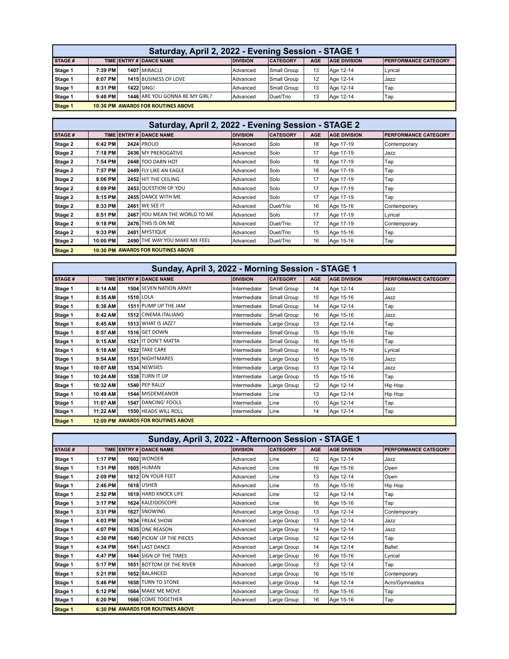| Saturday, April 2, 2022 - Evening Session - STAGE 1  |                                                                                                                                   |  |                              |          |             |    |           |                  |  |
|------------------------------------------------------|-----------------------------------------------------------------------------------------------------------------------------------|--|------------------------------|----------|-------------|----|-----------|------------------|--|
| STAGE #                                              | TIME ENTRY # DANCE NAME<br><b>CATEGORY</b><br><b>AGE</b><br><b>AGE DIVISION</b><br><b>DIVISION</b><br><b>PERFORMANCE CATEGORY</b> |  |                              |          |             |    |           |                  |  |
| Stage 1                                              | 7:39 PM                                                                                                                           |  | 1407 MIRACLE                 | Advanced | Small Group | 13 | Age 12-14 | Lyrical          |  |
| Stage 1                                              | $8:07$ PM                                                                                                                         |  | <b>1415 BUSINESS OF LOVE</b> | Advanced | Small Group | 12 | Age 12-14 | Jazz             |  |
| Stage 1                                              | 8:31 PM                                                                                                                           |  | <b>1422 SING!</b>            | Advanced | Small Group | 13 | Age 12-14 | Tap <sup>'</sup> |  |
| Stage 1                                              | 1446 ARE YOU GONNA BE MY GIRL?<br>9:48 PM<br>Duet/Trio<br>13<br>Advanced<br>Age 12-14<br>Tap                                      |  |                              |          |             |    |           |                  |  |
| Stage 1<br><b>10:30 PM AWARDS FOR ROUTINES ABOVE</b> |                                                                                                                                   |  |                              |          |             |    |           |                  |  |

|                | Saturday, April 2, 2022 - Evening Session - STAGE 2 |  |                                           |                 |                 |            |                     |                             |  |  |
|----------------|-----------------------------------------------------|--|-------------------------------------------|-----------------|-----------------|------------|---------------------|-----------------------------|--|--|
| <b>STAGE#</b>  |                                                     |  | TIME ENTRY # DANCE NAME                   | <b>DIVISION</b> | <b>CATEGORY</b> | <b>AGE</b> | <b>AGE DIVISION</b> | <b>PERFORMANCE CATEGORY</b> |  |  |
| Stage 2        | 6:42 PM                                             |  | <b>2424 PROUD</b>                         | Advanced        | Solo            | 18         | Age 17-19           | Contemporary                |  |  |
| Stage 2        | 7:18 PM                                             |  | 2436 MY PREROGATIVE                       | Advanced        | Solo            | 17         | Age 17-19           | Jazz                        |  |  |
| Stage 2        | 7:54 PM                                             |  | 2448 TOO DARN HOT                         | Advanced        | Solo            | 18         | Age 17-19           | Tap                         |  |  |
| Stage 2        | 7:57 PM                                             |  | 2449 FLY LIKE AN EAGLE                    | Advanced        | Solo            | 18         | Age 17-19           | Tap                         |  |  |
| Stage 2        | 8:06 PM                                             |  | 2452 HIT THE CEILING                      | Advanced        | Solo            | 17         | Age 17-19           | Тар                         |  |  |
| Stage 2        | 8:09 PM                                             |  | 2453 QUESTION OF YOU                      | Advanced        | Solo            | 17         | Age 17-19           | Тар                         |  |  |
| Stage 2        | 8:15 PM                                             |  | 2455 DANCE WITH ME                        | Advanced        | Solo            | 17         | Age 17-19           | Тар                         |  |  |
| Stage 2        | 8:33 PM                                             |  | 2461 WE SEE IT                            | Advanced        | Duet/Trio       | 16         | Age 15-16           | Contemporary                |  |  |
| Stage 2        | 8:51 PM                                             |  | 2467 YOU MEAN THE WORLD TO ME             | Advanced        | Solo            | 17         | Age 17-19           | Lyrical                     |  |  |
| Stage 2        | 9:18 PM                                             |  | 2476 THIS IS ON ME                        | Advanced        | Duet/Trio       | 17         | Age 17-19           | Contemporary                |  |  |
| Stage 2        | 9:33 PM                                             |  | 2481 MYSTIQUE                             | Advanced        | Duet/Trio       | 15         | Age 15-16           | Тар                         |  |  |
| Stage 2        | 10:00 PM                                            |  | 2490 THE WAY YOU MAKE ME FEEL             | Advanced        | Duet/Trio       | 16         | Age 15-16           | Тар                         |  |  |
| <b>Stage 2</b> |                                                     |  | <b>10:30 PM AWARDS FOR ROUTINES ABOVE</b> |                 |                 |            |                     |                             |  |  |

|         | Sunday, April 3, 2022 - Morning Session - STAGE 1 |  |                                           |                 |                 |            |                     |                             |  |  |
|---------|---------------------------------------------------|--|-------------------------------------------|-----------------|-----------------|------------|---------------------|-----------------------------|--|--|
| STAGE#  |                                                   |  | TIME ENTRY # DANCE NAME                   | <b>DIVISION</b> | <b>CATEGORY</b> | <b>AGE</b> | <b>AGE DIVISION</b> | <b>PERFORMANCE CATEGORY</b> |  |  |
| Stage 1 | 8:14 AM                                           |  | 1504 SEVEN NATION ARMY                    | Intermediate    | Small Group     | 14         | Age 12-14           | Jazz                        |  |  |
| Stage 1 | 8:35 AM                                           |  | <b>1510 LOLA</b>                          | Intermediate    | Small Group     | 15         | Age 15-16           | Jazz                        |  |  |
| Stage 1 | 8:38 AM                                           |  | 1511 PUMP UP THE JAM                      | Intermediate    | Small Group     | 14         | Age 12-14           | Tap                         |  |  |
| Stage 1 | 8:42 AM                                           |  | 1512 CINEMA ITALIANO                      | Intermediate    | Small Group     | 16         | Age 15-16           | Jazz                        |  |  |
| Stage 1 | 8:45 AM                                           |  | 1513 WHAT IS JAZZ?                        | Intermediate    | Large Group     | 13         | Age 12-14           | , Tap                       |  |  |
| Stage 1 | 8:57 AM                                           |  | 1516 GET DOWN                             | Intermediate    | Small Group     | 15         | Age 15-16           | Tap                         |  |  |
| Stage 1 | 9:15 AM                                           |  | 1521 IT DON'T MATTA                       | Intermediate    | Small Group     | 16         | Age 15-16           | Tap                         |  |  |
| Stage 1 | 9:18 AM                                           |  | 1522 TAKE CARE                            | Intermediate    | Small Group     | 16         | Age 15-16           | Lyrical                     |  |  |
| Stage 1 | 9:54 AM                                           |  | 1531 NIGHTMARES                           | Intermediate    | Large Group     | 15         | Age 15-16           | Jazz                        |  |  |
| Stage 1 | 10:07 AM                                          |  | 1534 NEWSIES                              | Intermediate    | Large Group     | 13         | Age 12-14           | Jazz                        |  |  |
| Stage 1 | 10:24 AM                                          |  | 1538 TURN IT UP                           | Intermediate    | Large Group     | 15         | Age 15-16           | Tap                         |  |  |
| Stage 1 | 10:32 AM                                          |  | 1540 PEP RALLY                            | Intermediate    | Large Group     | 12         | Age 12-14           | Hip Hop                     |  |  |
| Stage 1 | 10:49 AM                                          |  | 1544 MISDEMEANOR                          | Intermediate    | Line            | 13         | Age 12-14           | Hip Hop                     |  |  |
| Stage 1 | 11:07 AM                                          |  | 1547 DANCING' FOOLS                       | Intermediate    | Line            | 10         | Age 12-14           | Tap                         |  |  |
| Stage 1 | 11:22 AM                                          |  | 1550 HEADS WILL ROLL                      | Intermediate    | Line            | 14         | Age 12-14           | Tap                         |  |  |
| Stage 1 |                                                   |  | <b>12:00 PM AWARDS FOR ROUTINES ABOVE</b> |                 |                 |            |                     |                             |  |  |

| Sunday, April 3, 2022 - Afternoon Session - STAGE 1 |         |  |                                          |                 |                 |            |                     |                      |  |
|-----------------------------------------------------|---------|--|------------------------------------------|-----------------|-----------------|------------|---------------------|----------------------|--|
| STAGE#                                              |         |  | TIME ENTRY # DANCE NAME                  | <b>DIVISION</b> | <b>CATEGORY</b> | <b>AGE</b> | <b>AGE DIVISION</b> | PERFORMANCE CATEGORY |  |
| Stage 1                                             | 1:17 PM |  | 1602 WONDER                              | Advanced        | Line            | 12         | Age 12-14           | Jazz                 |  |
| Stage 1                                             | 1:31 PM |  | <b>1605 HUMAN</b>                        | Advanced        | Line            | 16         | Age 15-16           | Open                 |  |
| Stage 1                                             | 2:09 PM |  | 1612 ON YOUR FEET                        | Advanced        | Line            | 13         | Age 12-14           | Open                 |  |
| Stage 1                                             | 2:46 PM |  | 1618 USHER                               | Advanced        | Line            | 15         | Age 15-16           | Hip Hop              |  |
| Stage 1                                             | 2:52 PM |  | 1619 HARD KNOCK LIFE                     | Advanced        | Line            | 12         | Age 12-14           | Tap                  |  |
| Stage 1                                             | 3:17 PM |  | 1624 KALEIDOSCOPE                        | Advanced        | Line            | 16         | Age 15-16           | Tap                  |  |
| Stage 1                                             | 3:31 PM |  | 1627 SNOWING                             | Advanced        | Large Group     | 13         | Age 12-14           | Contemporary         |  |
| Stage 1                                             | 4:03 PM |  | 1634 FREAK SHOW                          | Advanced        | Large Group     | 13         | Age 12-14           | Jazz                 |  |
| Stage 1                                             | 4:07 PM |  | 1635 ONE REASON                          | Advanced        | Large Group     | 14         | Age 12-14           | Jazz                 |  |
| Stage 1                                             | 4:30 PM |  | 1640 PICKIN' UP THE PIECES               | Advanced        | Large Group     | 12         | Age 12-14           | Tap                  |  |
| Stage 1                                             | 4:34 PM |  | 1641 LAST DANCE                          | Advanced        | Large Group     | 14         | Age 12-14           | Ballet               |  |
| Stage 1                                             | 4:47 PM |  | 1644 SIGN OF THE TIMES                   | Advanced        | Large Group     | 16         | Age 15-16           | Lyrical              |  |
| Stage 1                                             | 5:17 PM |  | <b>1651 BOTTOM OF THE RIVER</b>          | Advanced        | Large Group     | 13         | Age 12-14           | Tap                  |  |
| Stage 1                                             | 5:21 PM |  | 1652 BALANCED                            | Advanced        | Large Group     | 16         | Age 15-16           | Contemporary         |  |
| Stage 1                                             | 5:46 PM |  | 1658 TURN TO STONE                       | Advanced        | Large Group     | 14         | Age 12-14           | Acro/Gymnastics      |  |
| Stage 1                                             | 6:12 PM |  | <b>1664 MAKE ME MOVE</b>                 | Advanced        | Large Group     | 15         | Age 15-16           | Tap                  |  |
| Stage 1                                             | 6:20 PM |  | 1666 COME TOGETHER                       | Advanced        | Large Group     | 16         | Age 15-16           | Tap                  |  |
| Stage 1                                             |         |  | <b>6:30 PM AWARDS FOR ROUTINES ABOVE</b> |                 |                 |            |                     |                      |  |